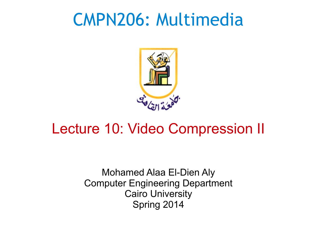#### CMPN206: Multimedia



#### Lecture 10: Video Compression II

Mohamed Alaa El-Dien Aly Computer Engineering Department Cairo University Spring 2014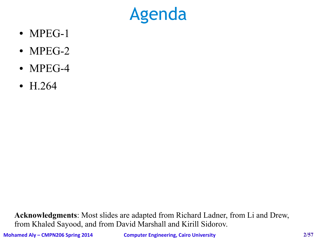#### Agenda

- $\bullet$  MPEG-1
- $\bullet$  MPEG-2
- $\bullet$  MPEG-4
- H.264

**Acknowledgments**: Most slides are adapted from Richard Ladner, from Li and Drew, from Khaled Sayood, and from David Marshall and Kirill Sidorov.

**Mohamed Aly – CMPN206 Spring 2014 Computer Engineering, Cairo University 2/57**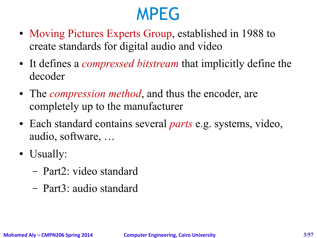#### MPEG

- Moving Pictures Experts Group, established in 1988 to create standards for digital audio and video
- It defines a *compressed bitstream* that implicitly define the decoder
- The *compression method*, and thus the encoder, are completely up to the manufacturer
- Each standard contains several *parts* e.g. systems, video, audio, software, …
- Usually:
	- Part2: video standard
	- Part3: audio standard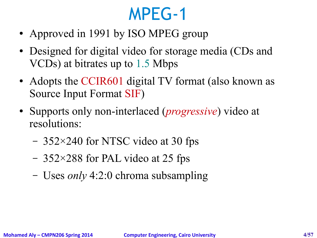#### MPEG-1

- Approved in 1991 by ISO MPEG group
- Designed for digital video for storage media (CDs and VCDs) at bitrates up to 1.5 Mbps
- Adopts the CCIR601 digital TV format (also known as Source Input Format SIF)
- Supports only non-interlaced (*progressive*) video at resolutions:
	- 352×240 for NTSC video at 30 fps
	- 352×288 for PAL video at 25 fps
	- Uses *only* 4:2:0 chroma subsampling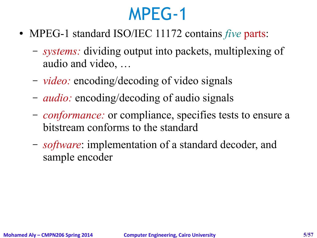#### MPEG-1

- MPEG-1 standard ISO/IEC 11172 contains *five* parts:
	- *systems:* dividing output into packets, multiplexing of audio and video, …
	- *video:* encoding/decoding of video signals
	- *audio:* encoding/decoding of audio signals
	- *conformance:* or compliance, specifies tests to ensure a bitstream conforms to the standard
	- *software*: implementation of a standard decoder, and sample encoder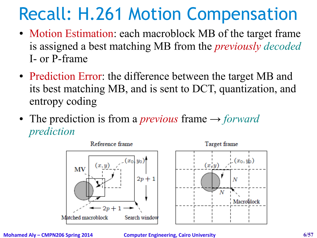#### Recall: H.261 Motion Compensation

- Motion Estimation: each macroblock MB of the target frame is assigned a best matching MB from the *previously decoded* I- or P-frame
- Prediction Error: the difference between the target MB and its best matching MB, and is sent to DCT, quantization, and entropy coding
- The prediction is from a *previous* frame → *forward prediction*



**Mohamed Aly – CMPN206 Spring 2014 Computer Engineering, Cairo University 6/57**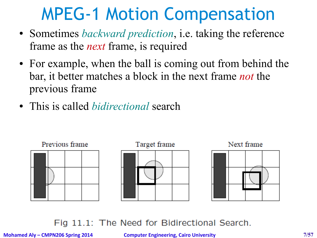#### MPEG-1 Motion Compensation

- Sometimes *backward prediction*, i.e. taking the reference frame as the *next* frame, is required
- For example, when the ball is coming out from behind the bar, it better matches a block in the next frame *not* the previous frame
- This is called *bidirectional* search



#### Fig 11.1: The Need for Bidirectional Search.

**Mohamed Aly – CMPN206 Spring 2014 Computer Engineering, Cairo University 7/57**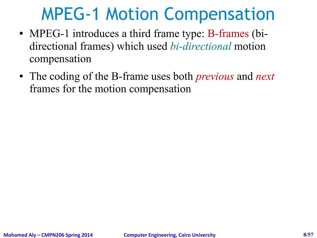#### MPEG-1 Motion Compensation

- MPEG-1 introduces a third frame type: B-frames (bidirectional frames) which used *bi-directional* motion compensation
- The coding of the B-frame uses both *previous* and *next* frames for the motion compensation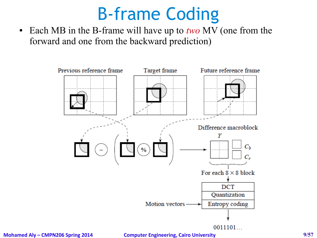#### B-frame Coding

• Each MB in the B-frame will have up to *two* MV (one from the forward and one from the backward prediction)



**Mohamed Aly – CMPN206 Spring 2014 Computer Engineering, Cairo University 9/57**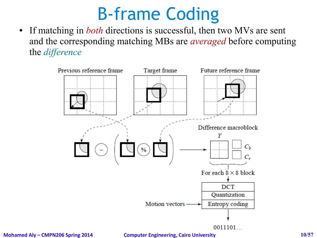#### B-frame Coding

• If matching in *both* directions is successful, then two MVs are sent and the corresponding matching MBs are *averaged* before computing the *difference*



**Mohamed Aly – CMPN206 Spring 2014 Computer Engineering, Cairo University 10/57**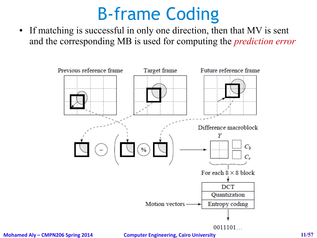#### B-frame Coding

• If matching is successful in only one direction, then that MV is sent and the corresponding MB is used for computing the *prediction error*



**Mohamed Aly – CMPN206 Spring 2014 Computer Engineering, Cairo University 11/57**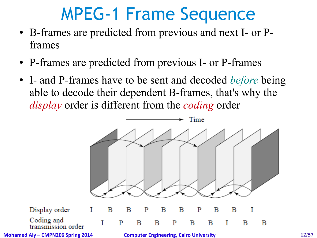#### MPEG-1 Frame Sequence

- B-frames are predicted from previous and next I- or Pframes
- P-frames are predicted from previous I- or P-frames
- I- and P-frames have to be sent and decoded *before* being able to decode their dependent B-frames, that's why the *display* order is different from the *coding* order

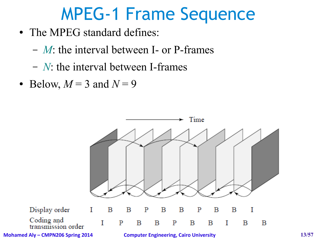#### MPEG-1 Frame Sequence

- The MPEG standard defines:
	- *M*: the interval between I- or P-frames
	- *N*: the interval between I-frames
- Below,  $M = 3$  and  $N = 9$

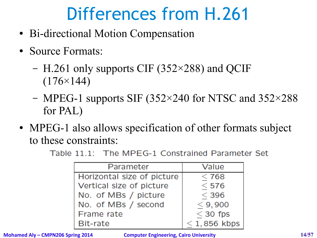- Bi-directional Motion Compensation
- Source Formats:
	- H.261 only supports CIF (352×288) and QCIF  $(176\times144)$
	- MPEG-1 supports SIF (352×240 for NTSC and 352×288 for PAL)
- MPEG-1 also allows specification of other formats subject to these constraints:

Table 11.1: The MPEG-1 Constrained Parameter Set

| Parameter                  | Value          |
|----------------------------|----------------|
| Horizontal size of picture | < 768          |
| Vertical size of picture   | $<$ 576        |
| No. of MBs / picture       | $<$ 396        |
| No. of MBs / second        | $<$ 9,900      |
| Frame rate                 | $<$ 30 fps     |
| Bit-rate                   | $<$ 1,856 kbps |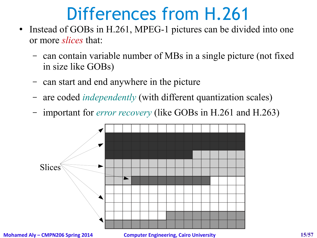- Instead of GOBs in H.261, MPEG-1 pictures can be divided into one or more *slices* that:
	- can contain variable number of MBs in a single picture (not fixed in size like GOBs)
	- can start and end anywhere in the picture
	- are coded *independently* (with different quantization scales)
	- important for *error recovery* (like GOBs in H.261 and H.263)



**Mohamed Aly – CMPN206 Spring 2014 Computer Engineering, Cairo University 15/57**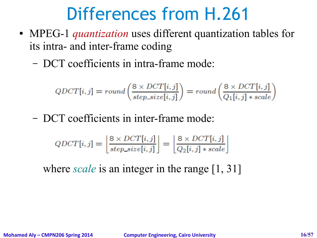- MPEG-1 *quantization* uses different quantization tables for its intra- and inter-frame coding
	- DCT coefficients in intra-frame mode:

$$
QDCT[i,j] = round\left(\frac{8 \times DCT[i,j]}{step\_size[i,j]}\right) = round\left(\frac{8 \times DCT[i,j]}{Q_1[i,j] * scale}\right)
$$

– DCT coefficients in inter-frame mode:

$$
QDCT[i,j] = \left\lfloor \frac{8 \times DCT[i,j]}{step\_size[i,j]} \right\rfloor = \left\lfloor \frac{8 \times DCT[i,j]}{Q_2[i,j] * scale} \right\rfloor
$$

where *scale* is an integer in the range [1, 31]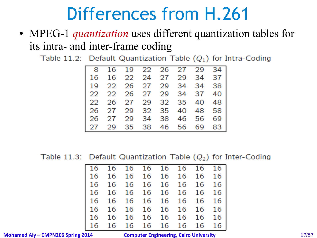• MPEG-1 *quantization* uses different quantization tables for its intra- and inter-frame coding

Table 11.2: Default Quantization Table  $(Q_1)$  for Intra-Coding

| 8 16 19 22 26 27 29 34  |  |  |  |
|-------------------------|--|--|--|
| 16 16 22 24 27 29 34 37 |  |  |  |
| 19 22 26 27 29 34 34 38 |  |  |  |
| 22 22 26 27 29 34 37 40 |  |  |  |
| 22 26 27 29 32 35 40 48 |  |  |  |
| 26 27 29 32 35 40 48 58 |  |  |  |
| 26 27 29 34 38 46 56 69 |  |  |  |
| 27 29 35 38 46 56 69 83 |  |  |  |

Table 11.3: Default Quantization Table  $(Q_2)$  for Inter-Coding

|  | 16 16 16 16 16 16 16 16 |  |  |  |
|--|-------------------------|--|--|--|
|  | 16 16 16 16 16 16 16 16 |  |  |  |
|  | 16 16 16 16 16 16 16 16 |  |  |  |
|  | 16 16 16 16 16 16 16 16 |  |  |  |
|  | 16 16 16 16 16 16 16 16 |  |  |  |
|  | 16 16 16 16 16 16 16 16 |  |  |  |
|  | 16 16 16 16 16 16 16 16 |  |  |  |
|  | 16 16 16 16 16 16 16 16 |  |  |  |

**Mohamed Aly – CMPN206 Spring 2014 Computer Engineering, Cairo University 17/57**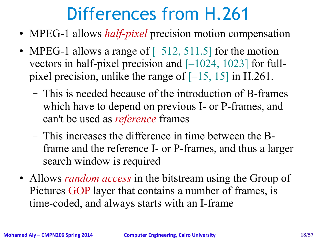- MPEG-1 allows *half-pixel* precision motion compensation
- MPEG-1 allows a range of  $[-512, 511.5]$  for the motion vectors in half-pixel precision and  $[-1024, 1023]$  for fullpixel precision, unlike the range of  $[-15, 15]$  in H.261.
	- This is needed because of the introduction of B-frames which have to depend on previous I- or P-frames, and can't be used as *reference* frames
	- This increases the difference in time between the Bframe and the reference I- or P-frames, and thus a larger search window is required
- Allows *random access* in the bitstream using the Group of Pictures GOP layer that contains a number of frames, is time-coded, and always starts with an I-frame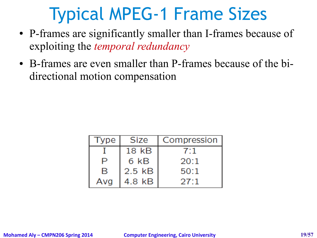#### Typical MPEG-1 Frame Sizes

- P-frames are significantly smaller than I-frames because of exploiting the *temporal redundancy*
- B-frames are even smaller than P-frames because of the bidirectional motion compensation

| Type | <b>Size</b> | Compression |
|------|-------------|-------------|
|      | 18 kB       | 7:1         |
| P    | 6 kB        | 20:1        |
| R    | $2.5$ $kB$  | 50:1        |
| Ava  | 4.8 kB      | 27:1        |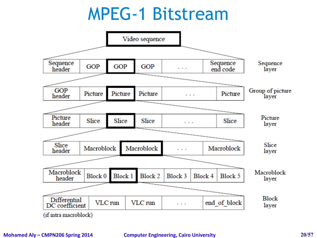#### MPEG-1 Bitstream



#### **Mohamed Aly – CMPN206 Spring 2014 Computer Engineering, Cairo University 20/57**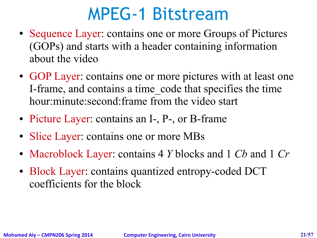#### MPEG-1 Bitstream

- Sequence Layer: contains one or more Groups of Pictures (GOPs) and starts with a header containing information about the video
- GOP Layer: contains one or more pictures with at least one I-frame, and contains a time\_code that specifies the time hour:minute:second:frame from the video start
- Picture Layer: contains an I-, P-, or B-frame
- Slice Layer: contains one or more MBs
- Macroblock Layer: contains 4 *Y* blocks and 1 *Cb* and 1 *Cr*
- Block Layer: contains quantized entropy-coded DCT coefficients for the block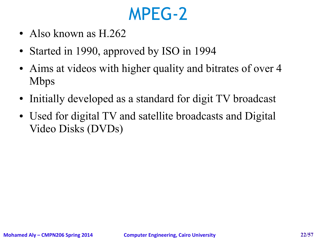#### MPEG-2

- Also known as  $H.262$
- Started in 1990, approved by ISO in 1994
- Aims at videos with higher quality and bitrates of over 4 Mbps
- Initially developed as a standard for digit TV broadcast
- Used for digital TV and satellite broadcasts and Digital Video Disks (DVDs)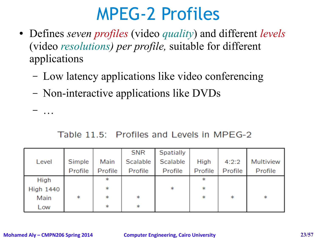#### MPEG-2 Profiles

- Defines *seven profiles* (video *quality*) and different *levels* (video *resolutions) per profile,* suitable for different applications
	- Low latency applications like video conferencing
	- Non-interactive applications like DVDs

– …

#### Table 11.5: Profiles and Levels in MPEG-2

|                  |         |         | <b>SNR</b> | <b>Spatially</b> |         |         |           |
|------------------|---------|---------|------------|------------------|---------|---------|-----------|
| Level            | Simple  | Main    | Scalable   | Scalable         | High    | 4:2:2   | Multiview |
|                  | Profile | Profile | Profile    | Profile          | Profile | Profile | Profile   |
| High             |         | $\ast$  |            |                  | $\ast$  |         |           |
| <b>High 1440</b> |         | $\ast$  |            | $\ast$           | $\ast$  |         |           |
| Main             | $\ast$  | $\ast$  | $\ast$     |                  | $\ast$  | $\ast$  | $\ast$    |
| Low              |         | $\ast$  | $\ast$     |                  |         |         |           |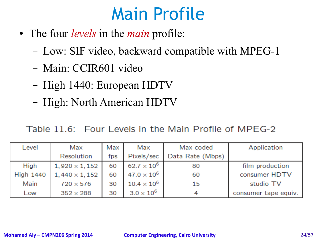#### Main Profile

- The four *levels* in the *main* profile:
	- Low: SIF video, backward compatible with MPEG-1
	- Main: CCIR601 video
	- High 1440: European HDTV
	- High: North American HDTV

Table 11.6: Four Levels in the Main Profile of MPEG-2

| Level            | Max                  | Max | Max                  | Max coded        | Application          |
|------------------|----------------------|-----|----------------------|------------------|----------------------|
|                  | Resolution           | fps | Pixels/sec           | Data Rate (Mbps) |                      |
| High             | $1,920 \times 1,152$ | 60  | $62.7 \times 10^{6}$ | 80               | film production      |
| <b>High 1440</b> | $1,440 \times 1,152$ | 60  | $47.0 \times 10^{6}$ | 60               | consumer HDTV        |
| Main             | $720 \times 576$     | 30  | $10.4\times10^6$     | 15               | studio TV            |
| Low              | $352 \times 288$     | 30  | $3.0 \times 10^6$    |                  | consumer tape equiv. |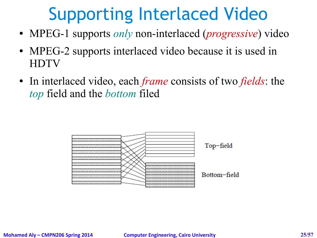#### Supporting Interlaced Video

- MPEG-1 supports *only* non-interlaced (*progressive*) video
- MPEG-2 supports interlaced video because it is used in **HDTV**
- In interlaced video, each *frame* consists of two *fields*: the *top* field and the *bottom* filed

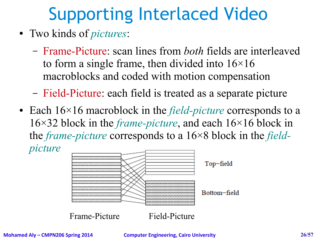# Supporting Interlaced Video

- Two kinds of *pictures*:
	- Frame-Picture: scan lines from *both* fields are interleaved to form a single frame, then divided into  $16\times16$ macroblocks and coded with motion compensation
	- Field-Picture: each field is treated as a separate picture
- Each 16×16 macroblock in the *field-picture* corresponds to a 16×32 block in the *frame-picture*, and each 16×16 block in the *frame-picture* corresponds to a 16×8 block in the *fieldpicture*



**Mohamed Aly – CMPN206 Spring 2014 Computer Engineering, Cairo University 26/57**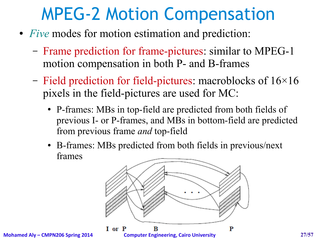#### MPEG-2 Motion Compensation

- *Five* modes for motion estimation and prediction:
	- Frame prediction for frame-pictures: similar to MPEG-1 motion compensation in both P- and B-frames
	- Field prediction for field-pictures: macroblocks of  $16\times16$ pixels in the field-pictures are used for MC:
		- P-frames: MBs in top-field are predicted from both fields of previous I- or P-frames, and MBs in bottom-field are predicted from previous frame *and* top-field
		- B-frames: MBs predicted from both fields in previous/next frames

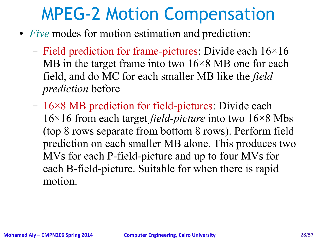#### MPEG-2 Motion Compensation

- *Five* modes for motion estimation and prediction:
	- Field prediction for frame-pictures: Divide each  $16\times16$ MB in the target frame into two  $16\times8$  MB one for each field, and do MC for each smaller MB like the *field prediction* before
	- 16×8 MB prediction for field-pictures: Divide each 16×16 from each target *field-picture* into two 16×8 Mbs (top 8 rows separate from bottom 8 rows). Perform field prediction on each smaller MB alone. This produces two MVs for each P-field-picture and up to four MVs for each B-field-picture. Suitable for when there is rapid motion.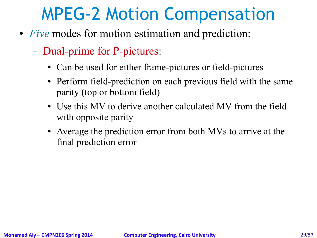#### MPEG-2 Motion Compensation

- *Five* modes for motion estimation and prediction:
	- Dual-prime for P-pictures:
		- Can be used for either frame-pictures or field-pictures
		- Perform field-prediction on each previous field with the same parity (top or bottom field)
		- Use this MV to derive another calculated MV from the field with opposite parity
		- Average the prediction error from both MVs to arrive at the final prediction error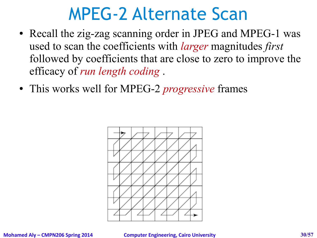#### MPEG-2 Alternate Scan

- Recall the zig-zag scanning order in JPEG and MPEG-1 was used to scan the coefficients with *larger* magnitudes *first* followed by coefficients that are close to zero to improve the efficacy of *run length coding* .
- This works well for MPEG-2 *progressive* frames

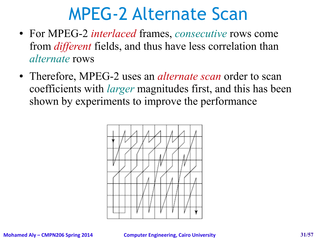#### MPEG-2 Alternate Scan

- For MPEG-2 *interlaced* frames, *consecutive* rows come from *different* fields, and thus have less correlation than *alternate* rows
- Therefore, MPEG-2 uses an *alternate scan* order to scan coefficients with *larger* magnitudes first, and this has been shown by experiments to improve the performance

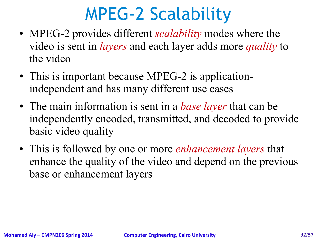#### MPEG-2 Scalability

- MPEG-2 provides different *scalability* modes where the video is sent in *layers* and each layer adds more *quality* to the video
- This is important because MPEG-2 is applicationindependent and has many different use cases
- The main information is sent in a *base layer* that can be independently encoded, transmitted, and decoded to provide basic video quality
- This is followed by one or more *enhancement layers* that enhance the quality of the video and depend on the previous base or enhancement layers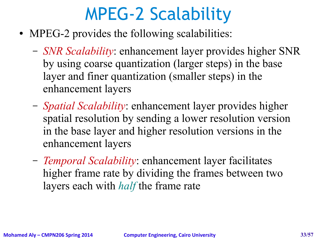#### MPEG-2 Scalability

- MPEG-2 provides the following scalabilities:
	- *SNR Scalability*: enhancement layer provides higher SNR by using coarse quantization (larger steps) in the base layer and finer quantization (smaller steps) in the enhancement layers
	- *Spatial Scalability*: enhancement layer provides higher spatial resolution by sending a lower resolution version in the base layer and higher resolution versions in the enhancement layers
	- *Temporal Scalability*: enhancement layer facilitates higher frame rate by dividing the frames between two layers each with *half* the frame rate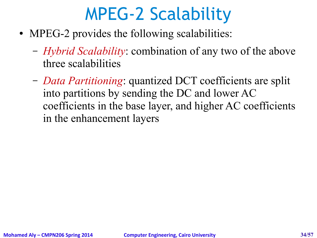#### MPEG-2 Scalability

- MPEG-2 provides the following scalabilities:
	- *Hybrid Scalability*: combination of any two of the above three scalabilities
	- *Data Partitioning*: quantized DCT coefficients are split into partitions by sending the DC and lower AC coefficients in the base layer, and higher AC coefficients in the enhancement layers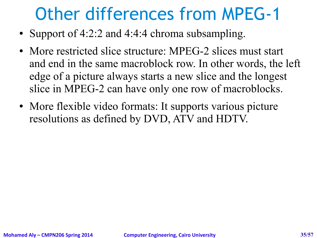#### Other differences from MPEG-1

- Support of 4:2:2 and 4:4:4 chroma subsampling.
- More restricted slice structure: MPEG-2 slices must start and end in the same macroblock row. In other words, the left edge of a picture always starts a new slice and the longest slice in MPEG-2 can have only one row of macroblocks.
- More flexible video formats: It supports various picture resolutions as defined by DVD, ATV and HDTV.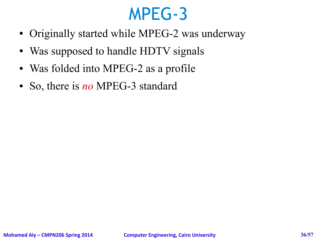#### MPEG-3

- Originally started while MPEG-2 was underway
- Was supposed to handle HDTV signals
- Was folded into MPEG-2 as a profile
- So, there is *no* MPEG-3 standard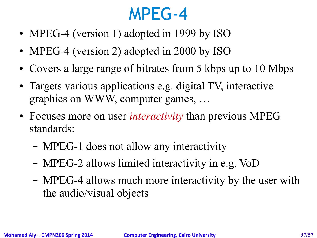#### MPEG-4

- MPEG-4 (version 1) adopted in 1999 by ISO
- MPEG-4 (version 2) adopted in 2000 by ISO
- Covers a large range of bitrates from 5 kbps up to 10 Mbps
- Targets various applications e.g. digital TV, interactive graphics on WWW, computer games, …
- Focuses more on user *interactivity* than previous MPEG standards:
	- MPEG-1 does not allow any interactivity
	- MPEG-2 allows limited interactivity in e.g. VoD
	- MPEG-4 allows much more interactivity by the user with the audio/visual objects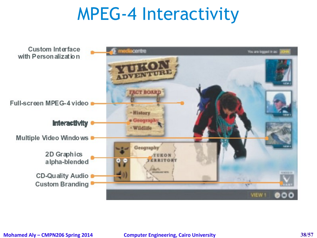#### MPEG-4 Interactivity

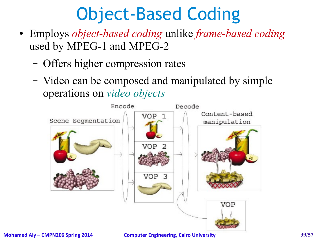- Employs *object-based coding* unlike *frame-based coding* used by MPEG-1 and MPEG-2
	- Offers higher compression rates
	- Video can be composed and manipulated by simple operations on *video objects*

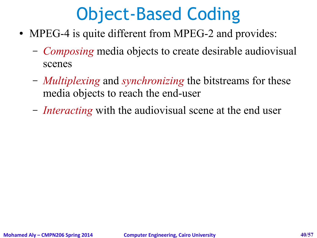- MPEG-4 is quite different from MPEG-2 and provides:
	- *Composing* media objects to create desirable audiovisual scenes
	- *Multiplexing* and *synchronizing* the bitstreams for these media objects to reach the end-user
	- *Interacting* with the audiovisual scene at the end user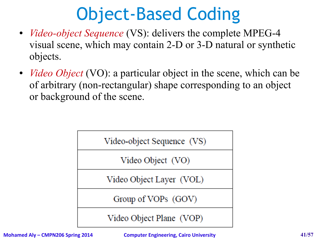- *Video-object Sequence* (VS): delivers the complete MPEG-4 visual scene, which may contain 2-D or 3-D natural or synthetic objects.
- *Video Object* (VO): a particular object in the scene, which can be of arbitrary (non-rectangular) shape corresponding to an object or background of the scene.



**Mohamed Aly – CMPN206 Spring 2014 Computer Engineering, Cairo University 41/57**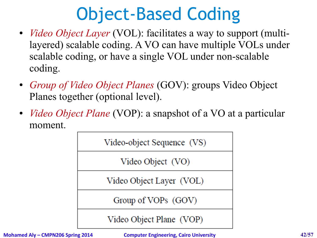- *Video Object Layer* (VOL): facilitates a way to support (multilayered) scalable coding. A VO can have multiple VOLs under scalable coding, or have a single VOL under non-scalable coding.
- *Group of Video Object Planes* (GOV): groups Video Object Planes together (optional level).
- *Video Object Plane* (VOP): a snapshot of a VO at a particular moment.



**Mohamed Aly – CMPN206 Spring 2014 Computer Engineering, Cairo University 42/57**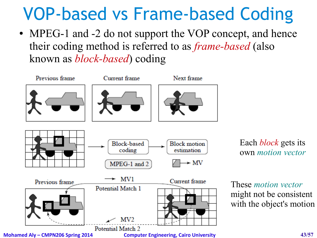#### VOP-based vs Frame-based Coding

• MPEG-1 and -2 do not support the VOP concept, and hence their coding method is referred to as *frame-based* (also known as *block-based*) coding



Each *block* gets its own *motion vector*

These *motion vector* might not be consistent with the object's motion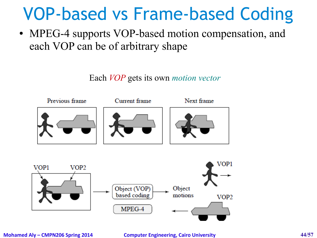#### VOP-based vs Frame-based Coding

• MPEG-4 supports VOP-based motion compensation, and each VOP can be of arbitrary shape

Each *VOP* gets its own *motion vector*



MPEG-4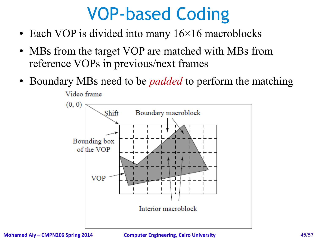#### VOP-based Coding

- Each VOP is divided into many  $16\times16$  macroblocks
- MBs from the target VOP are matched with MBs from reference VOPs in previous/next frames
- Boundary MBs need to be *padded* to perform the matching Video frame

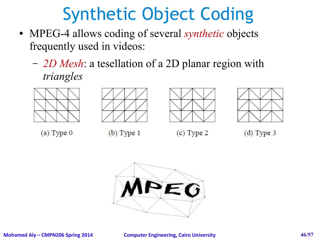# Synthetic Object Coding

- MPEG-4 allows coding of several *synthetic* objects frequently used in videos:
	- *2D Mesh*: a tesellation of a 2D planar region with *triangles*









 $(a)$  Type 0

 $(b)$  Type 1

 $(c)$  Type 2

 $(d)$  Type 3

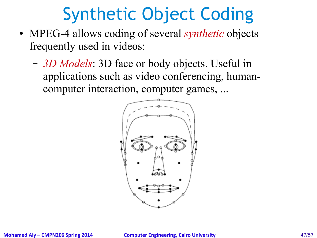# Synthetic Object Coding

- MPEG-4 allows coding of several *synthetic* objects frequently used in videos:
	- *3D Models*: 3D face or body objects. Useful in applications such as video conferencing, humancomputer interaction, computer games, ...

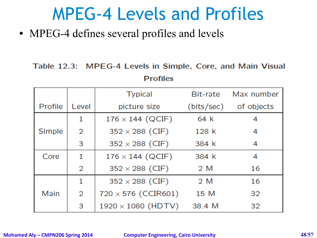#### MPEG-4 Levels and Profiles

• MPEG-4 defines several profiles and levels

#### Table 12.3: MPEG-4 Levels in Simple, Core, and Main Visual **Profiles**

|         |       | <b>Typical</b>             | Bit-rate   | Max number |
|---------|-------|----------------------------|------------|------------|
| Profile | Level | picture size               | (bits/sec) | of objects |
|         | 1     | $176 \times 144$ (QCIF)    | 64 k       | 4          |
| Simple  | 2     | $352 \times 288$ (CIF)     | 128k       | 4          |
|         | 3     | $352 \times 288$ (CIF)     | 384 k      | 4          |
| Core    | 1     | $176 \times 144$ (QCIF)    | 384 k      | 4          |
|         | 2     | $352 \times 288$ (CIF)     | 2 M        | 16         |
|         | 1     | $352 \times 288$ (CIF)     | 2 M        | 16         |
| Main    | 2     | $720 \times 576$ (CCIR601) | 15 M       | 32         |
|         | 3     | $1920 \times 1080$ (HDTV)  | 38.4 M     | 32         |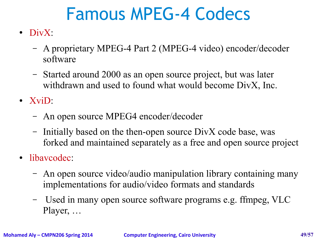#### Famous MPEG-4 Codecs

- DivX:
	- A proprietary MPEG-4 Part 2 (MPEG-4 video) encoder/decoder software
	- Started around 2000 as an open source project, but was later withdrawn and used to found what would become DivX, Inc.
- XviD:
	- An open source MPEG4 encoder/decoder
	- Initially based on the then-open source DivX code base, was forked and maintained separately as a free and open source project
- libavcodec:
	- An open source video/audio manipulation library containing many implementations for audio/video formats and standards
	- Used in many open source software programs e.g. ffmpeg, VLC Player, …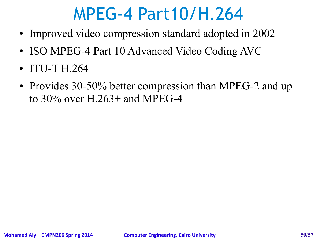#### MPEG-4 Part10/H.264

- Improved video compression standard adopted in 2002
- ISO MPEG-4 Part 10 Advanced Video Coding AVC
- ITU-T H.264
- Provides 30-50% better compression than MPEG-2 and up to 30% over H.263+ and MPEG-4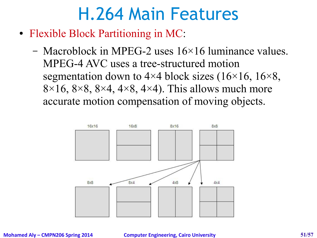- Flexible Block Partitioning in MC:
	- Macroblock in MPEG-2 uses 16×16 luminance values. MPEG-4 AVC uses a tree-structured motion segmentation down to  $4\times4$  block sizes (16 $\times16$ , 16 $\times8$ ,  $8\times16$ ,  $8\times8$ ,  $8\times4$ ,  $4\times8$ ,  $4\times4$ ). This allows much more accurate motion compensation of moving objects.

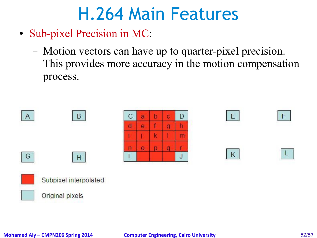- Sub-pixel Precision in MC:
	- Motion vectors can have up to quarter-pixel precision. This provides more accuracy in the motion compensation process.

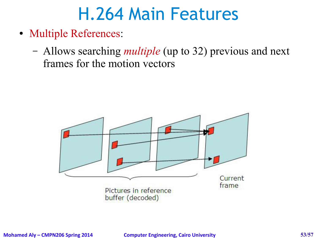- Multiple References:
	- Allows searching *multiple* (up to 32) previous and next frames for the motion vectors

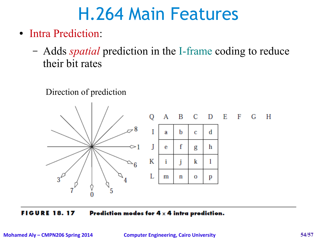- Intra Prediction:
	- Adds *spatial* prediction in the I-frame coding to reduce their bit rates





**FIGURE 18.17** Prediction modes for  $4 \times 4$  intra prediction.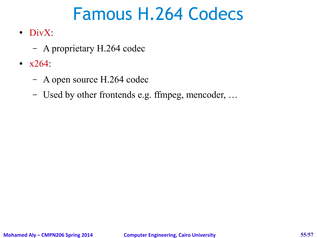#### Famous H.264 Codecs

- $\bullet$  DivX:
	- A proprietary H.264 codec
- $x264$ :
	- A open source H.264 codec
	- Used by other frontends e.g. ffmpeg, mencoder, …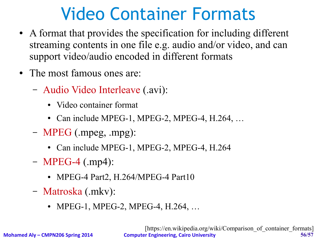#### Video Container Formats

- A format that provides the specification for including different streaming contents in one file e.g. audio and/or video, and can support video/audio encoded in different formats
- The most famous ones are:
	- Audio Video Interleave (.avi):
		- Video container format
		- Can include MPEG-1, MPEG-2, MPEG-4, H.264, ...
	- MPEG (.mpeg, .mpg):
		- Can include MPEG-1, MPEG-2, MPEG-4, H.264
	- MPEG-4 (.mp4):
		- MPEG-4 Part2, H.264/MPEG-4 Part10
	- Matroska (.mkv):
		- MPEG-1, MPEG-2, MPEG-4, H.264, ...